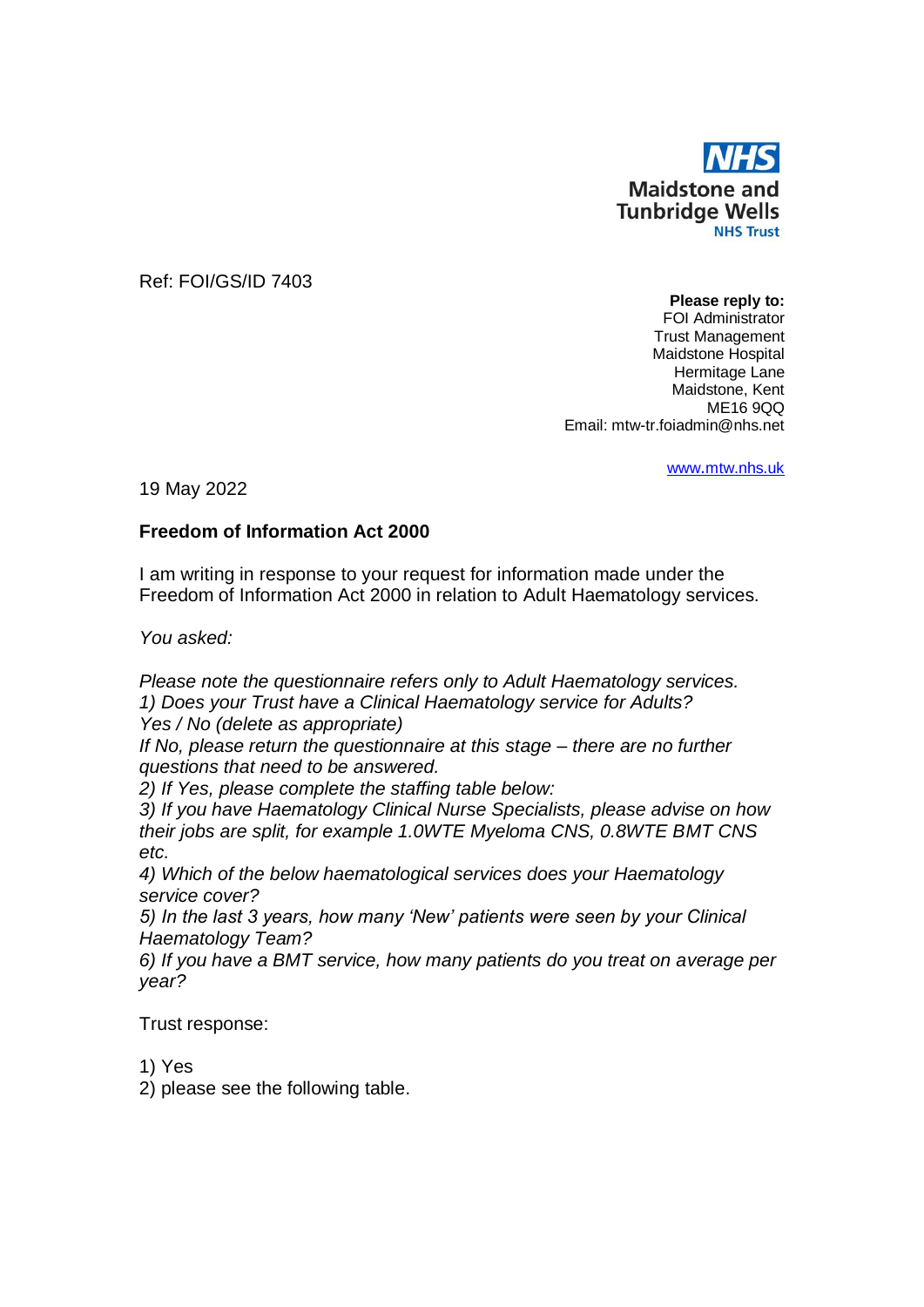

Ref: FOI/GS/ID 7403

**Please reply to:** FOI Administrator Trust Management Maidstone Hospital Hermitage Lane Maidstone, Kent ME16 9QQ Email: mtw-tr.foiadmin@nhs.net

www.[mtw.nhs.uk](http://www.mtw.nhs.uk/)

19 May 2022

## **Freedom of Information Act 2000**

I am writing in response to your request for information made under the Freedom of Information Act 2000 in relation to Adult Haematology services.

*You asked:*

*Please note the questionnaire refers only to Adult Haematology services. 1) Does your Trust have a Clinical Haematology service for Adults? Yes / No (delete as appropriate)*

*If No, please return the questionnaire at this stage – there are no further questions that need to be answered.*

*2) If Yes, please complete the staffing table below:*

*3) If you have Haematology Clinical Nurse Specialists, please advise on how their jobs are split, for example 1.0WTE Myeloma CNS, 0.8WTE BMT CNS etc.* 

*4) Which of the below haematological services does your Haematology service cover?* 

*5) In the last 3 years, how many 'New' patients were seen by your Clinical Haematology Team?* 

*6) If you have a BMT service, how many patients do you treat on average per year?*

Trust response:

1) Yes

2) please see the following table.